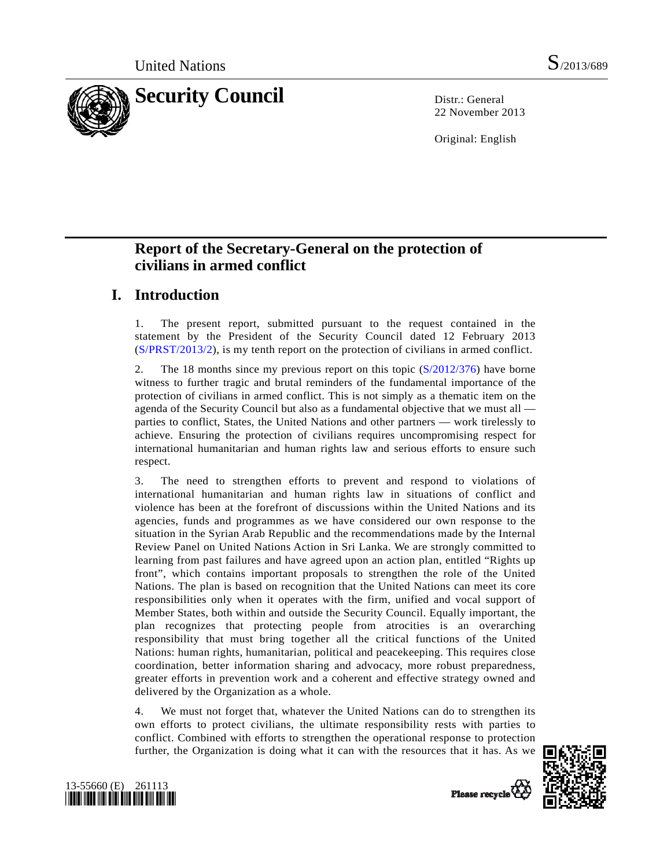

22 November 2013

Original: English

# **Report of the Secretary-General on the protection of civilians in armed conflict**

# **I. Introduction**

1. The present report, submitted pursuant to the request contained in the statement by the President of the Security Council dated 12 February 2013 ([S/PRST/2013/2\)](http://undocs.org/S/PRST/2013/2), is my tenth report on the protection of civilians in armed conflict.

2. The 18 months since my previous report on this topic [\(S/2012/376\)](http://undocs.org/S/2012/376) have borne witness to further tragic and brutal reminders of the fundamental importance of the protection of civilians in armed conflict. This is not simply as a thematic item on the agenda of the Security Council but also as a fundamental objective that we must all parties to conflict, States, the United Nations and other partners — work tirelessly to achieve. Ensuring the protection of civilians requires uncompromising respect for international humanitarian and human rights law and serious efforts to ensure such respect.

3. The need to strengthen efforts to prevent and respond to violations of international humanitarian and human rights law in situations of conflict and violence has been at the forefront of discussions within the United Nations and its agencies, funds and programmes as we have considered our own response to the situation in the Syrian Arab Republic and the recommendations made by the Internal Review Panel on United Nations Action in Sri Lanka. We are strongly committed to learning from past failures and have agreed upon an action plan, entitled "Rights up front", which contains important proposals to strengthen the role of the United Nations. The plan is based on recognition that the United Nations can meet its core responsibilities only when it operates with the firm, unified and vocal support of Member States, both within and outside the Security Council. Equally important, the plan recognizes that protecting people from atrocities is an overarching responsibility that must bring together all the critical functions of the United Nations: human rights, humanitarian, political and peacekeeping. This requires close coordination, better information sharing and advocacy, more robust preparedness, greater efforts in prevention work and a coherent and effective strategy owned and delivered by the Organization as a whole.

4. We must not forget that, whatever the United Nations can do to strengthen its own efforts to protect civilians, the ultimate responsibility rests with parties to conflict. Combined with efforts to strengthen the operational response to protection further, the Organization is doing what it can with the resources that it has. As we



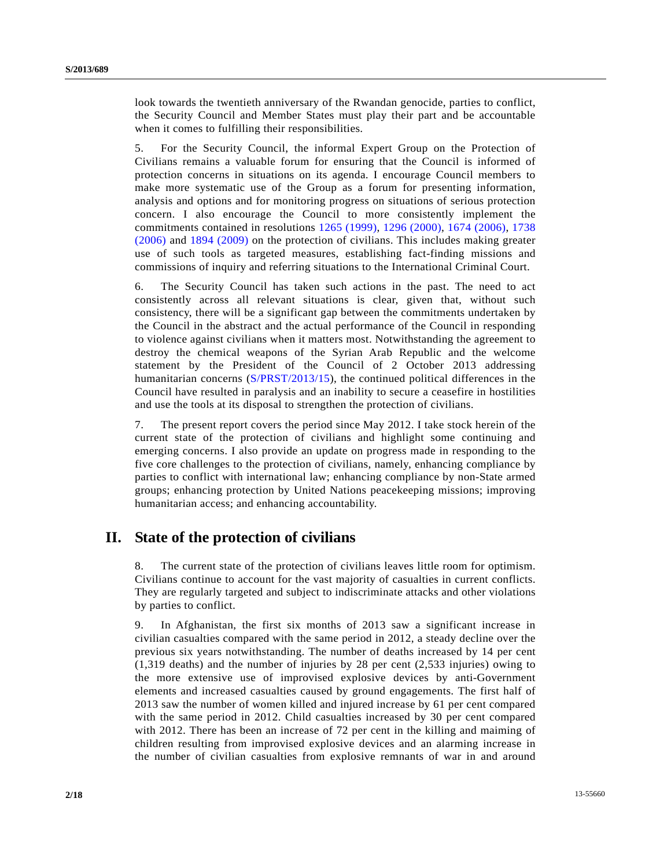look towards the twentieth anniversary of the Rwandan genocide, parties to conflict, the Security Council and Member States must play their part and be accountable when it comes to fulfilling their responsibilities.

5. For the Security Council, the informal Expert Group on the Protection of Civilians remains a valuable forum for ensuring that the Council is informed of protection concerns in situations on its agenda. I encourage Council members to make more systematic use of the Group as a forum for presenting information, analysis and options and for monitoring progress on situations of serious protection concern. I also encourage the Council to more consistently implement the commitments contained in resolutions [1265 \(1999\)](http://undocs.org/S/RES/1265(1999)), [1296 \(2000\),](http://undocs.org/S/RES/1296(2000)) [1674 \(2006\),](http://undocs.org/S/RES/1674(2006)) [1738](http://undocs.org/S/RES/1738(2006))  [\(2006\)](http://undocs.org/S/RES/1738(2006)) and [1894 \(2009\)](http://undocs.org/S/RES/1894(2009)) on the protection of civilians. This includes making greater use of such tools as targeted measures, establishing fact-finding missions and commissions of inquiry and referring situations to the International Criminal Court.

6. The Security Council has taken such actions in the past. The need to act consistently across all relevant situations is clear, given that, without such consistency, there will be a significant gap between the commitments undertaken by the Council in the abstract and the actual performance of the Council in responding to violence against civilians when it matters most. Notwithstanding the agreement to destroy the chemical weapons of the Syrian Arab Republic and the welcome statement by the President of the Council of 2 October 2013 addressing humanitarian concerns ([S/PRST/2013/15](http://undocs.org/S/PRST/2013/15)), the continued political differences in the Council have resulted in paralysis and an inability to secure a ceasefire in hostilities and use the tools at its disposal to strengthen the protection of civilians.

7. The present report covers the period since May 2012. I take stock herein of the current state of the protection of civilians and highlight some continuing and emerging concerns. I also provide an update on progress made in responding to the five core challenges to the protection of civilians, namely, enhancing compliance by parties to conflict with international law; enhancing compliance by non-State armed groups; enhancing protection by United Nations peacekeeping missions; improving humanitarian access; and enhancing accountability.

## **II. State of the protection of civilians**

8. The current state of the protection of civilians leaves little room for optimism. Civilians continue to account for the vast majority of casualties in current conflicts. They are regularly targeted and subject to indiscriminate attacks and other violations by parties to conflict.

9. In Afghanistan, the first six months of 2013 saw a significant increase in civilian casualties compared with the same period in 2012, a steady decline over the previous six years notwithstanding. The number of deaths increased by 14 per cent (1,319 deaths) and the number of injuries by 28 per cent (2,533 injuries) owing to the more extensive use of improvised explosive devices by anti-Government elements and increased casualties caused by ground engagements. The first half of 2013 saw the number of women killed and injured increase by 61 per cent compared with the same period in 2012. Child casualties increased by 30 per cent compared with 2012. There has been an increase of 72 per cent in the killing and maiming of children resulting from improvised explosive devices and an alarming increase in the number of civilian casualties from explosive remnants of war in and around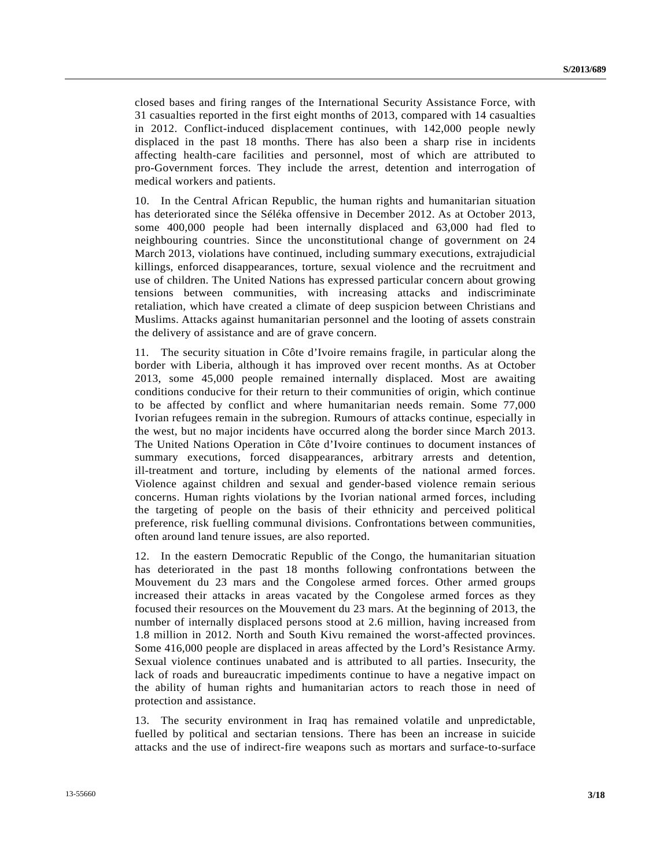closed bases and firing ranges of the International Security Assistance Force, with 31 casualties reported in the first eight months of 2013, compared with 14 casualties in 2012. Conflict-induced displacement continues, with 142,000 people newly displaced in the past 18 months. There has also been a sharp rise in incidents affecting health-care facilities and personnel, most of which are attributed to pro-Government forces. They include the arrest, detention and interrogation of medical workers and patients.

10. In the Central African Republic, the human rights and humanitarian situation has deteriorated since the Séléka offensive in December 2012. As at October 2013, some 400,000 people had been internally displaced and 63,000 had fled to neighbouring countries. Since the unconstitutional change of government on 24 March 2013, violations have continued, including summary executions, extrajudicial killings, enforced disappearances, torture, sexual violence and the recruitment and use of children. The United Nations has expressed particular concern about growing tensions between communities, with increasing attacks and indiscriminate retaliation, which have created a climate of deep suspicion between Christians and Muslims. Attacks against humanitarian personnel and the looting of assets constrain the delivery of assistance and are of grave concern.

11. The security situation in Côte d'Ivoire remains fragile, in particular along the border with Liberia, although it has improved over recent months. As at October 2013, some 45,000 people remained internally displaced. Most are awaiting conditions conducive for their return to their communities of origin, which continue to be affected by conflict and where humanitarian needs remain. Some 77,000 Ivorian refugees remain in the subregion. Rumours of attacks continue, especially in the west, but no major incidents have occurred along the border since March 2013. The United Nations Operation in Côte d'Ivoire continues to document instances of summary executions, forced disappearances, arbitrary arrests and detention, ill-treatment and torture, including by elements of the national armed forces. Violence against children and sexual and gender-based violence remain serious concerns. Human rights violations by the Ivorian national armed forces, including the targeting of people on the basis of their ethnicity and perceived political preference, risk fuelling communal divisions. Confrontations between communities, often around land tenure issues, are also reported.

12. In the eastern Democratic Republic of the Congo, the humanitarian situation has deteriorated in the past 18 months following confrontations between the Mouvement du 23 mars and the Congolese armed forces. Other armed groups increased their attacks in areas vacated by the Congolese armed forces as they focused their resources on the Mouvement du 23 mars. At the beginning of 2013, the number of internally displaced persons stood at 2.6 million, having increased from 1.8 million in 2012. North and South Kivu remained the worst-affected provinces. Some 416,000 people are displaced in areas affected by the Lord's Resistance Army. Sexual violence continues unabated and is attributed to all parties. Insecurity, the lack of roads and bureaucratic impediments continue to have a negative impact on the ability of human rights and humanitarian actors to reach those in need of protection and assistance.

13. The security environment in Iraq has remained volatile and unpredictable, fuelled by political and sectarian tensions. There has been an increase in suicide attacks and the use of indirect-fire weapons such as mortars and surface-to-surface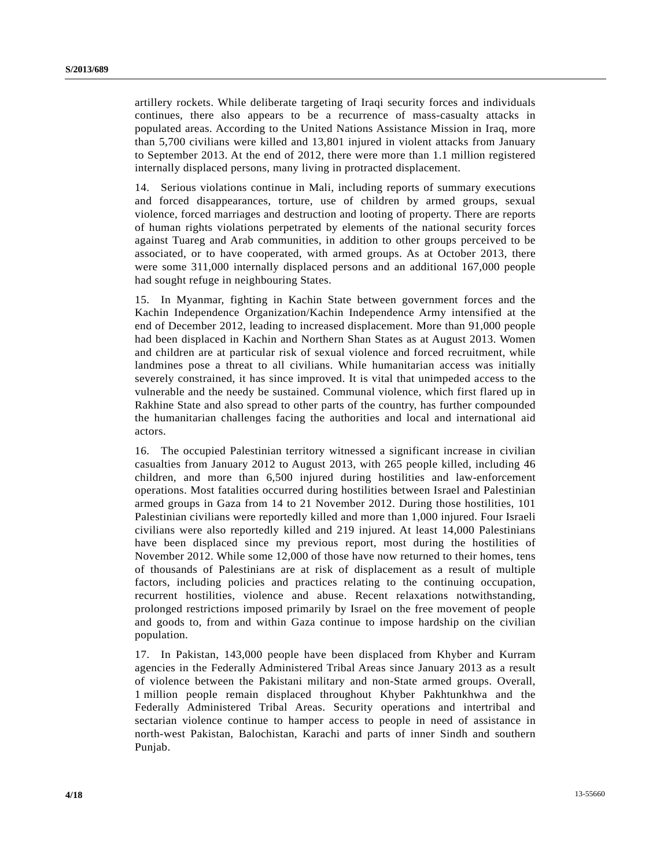artillery rockets. While deliberate targeting of Iraqi security forces and individuals continues, there also appears to be a recurrence of mass-casualty attacks in populated areas. According to the United Nations Assistance Mission in Iraq, more than 5,700 civilians were killed and 13,801 injured in violent attacks from January to September 2013. At the end of 2012, there were more than 1.1 million registered internally displaced persons, many living in protracted displacement.

14. Serious violations continue in Mali, including reports of summary executions and forced disappearances, torture, use of children by armed groups, sexual violence, forced marriages and destruction and looting of property. There are reports of human rights violations perpetrated by elements of the national security forces against Tuareg and Arab communities, in addition to other groups perceived to be associated, or to have cooperated, with armed groups. As at October 2013, there were some 311,000 internally displaced persons and an additional 167,000 people had sought refuge in neighbouring States.

15. In Myanmar, fighting in Kachin State between government forces and the Kachin Independence Organization/Kachin Independence Army intensified at the end of December 2012, leading to increased displacement. More than 91,000 people had been displaced in Kachin and Northern Shan States as at August 2013. Women and children are at particular risk of sexual violence and forced recruitment, while landmines pose a threat to all civilians. While humanitarian access was initially severely constrained, it has since improved. It is vital that unimpeded access to the vulnerable and the needy be sustained. Communal violence, which first flared up in Rakhine State and also spread to other parts of the country, has further compounded the humanitarian challenges facing the authorities and local and international aid actors.

16. The occupied Palestinian territory witnessed a significant increase in civilian casualties from January 2012 to August 2013, with 265 people killed, including 46 children, and more than 6,500 injured during hostilities and law-enforcement operations. Most fatalities occurred during hostilities between Israel and Palestinian armed groups in Gaza from 14 to 21 November 2012. During those hostilities, 101 Palestinian civilians were reportedly killed and more than 1,000 injured. Four Israeli civilians were also reportedly killed and 219 injured. At least 14,000 Palestinians have been displaced since my previous report, most during the hostilities of November 2012. While some 12,000 of those have now returned to their homes, tens of thousands of Palestinians are at risk of displacement as a result of multiple factors, including policies and practices relating to the continuing occupation, recurrent hostilities, violence and abuse. Recent relaxations notwithstanding, prolonged restrictions imposed primarily by Israel on the free movement of people and goods to, from and within Gaza continue to impose hardship on the civilian population.

17. In Pakistan, 143,000 people have been displaced from Khyber and Kurram agencies in the Federally Administered Tribal Areas since January 2013 as a result of violence between the Pakistani military and non-State armed groups. Overall, 1 million people remain displaced throughout Khyber Pakhtunkhwa and the Federally Administered Tribal Areas. Security operations and intertribal and sectarian violence continue to hamper access to people in need of assistance in north-west Pakistan, Balochistan, Karachi and parts of inner Sindh and southern Punjab.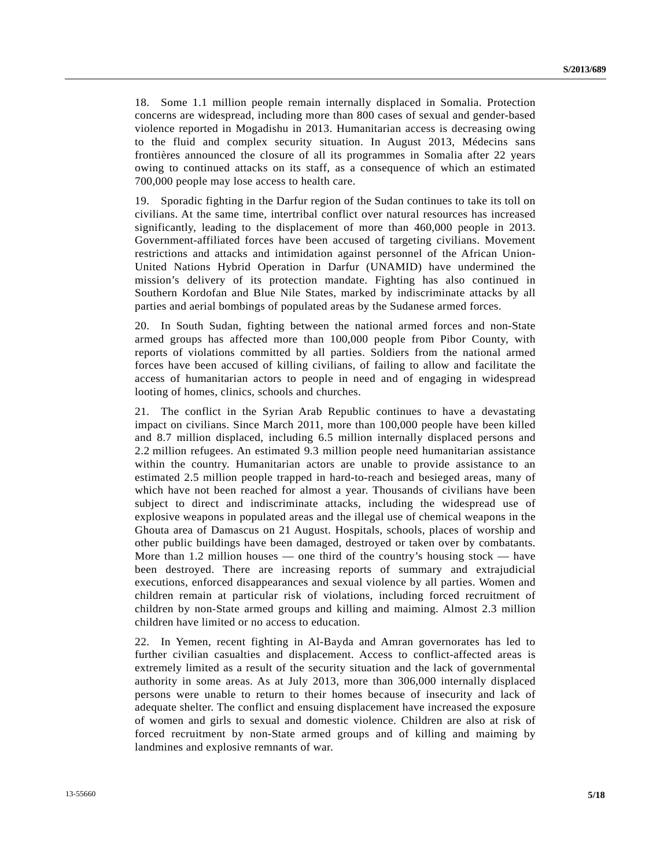18. Some 1.1 million people remain internally displaced in Somalia. Protection concerns are widespread, including more than 800 cases of sexual and gender-based violence reported in Mogadishu in 2013. Humanitarian access is decreasing owing to the fluid and complex security situation. In August 2013, Médecins sans frontières announced the closure of all its programmes in Somalia after 22 years owing to continued attacks on its staff, as a consequence of which an estimated 700,000 people may lose access to health care.

19. Sporadic fighting in the Darfur region of the Sudan continues to take its toll on civilians. At the same time, intertribal conflict over natural resources has increased significantly, leading to the displacement of more than 460,000 people in 2013. Government-affiliated forces have been accused of targeting civilians. Movement restrictions and attacks and intimidation against personnel of the African Union-United Nations Hybrid Operation in Darfur (UNAMID) have undermined the mission's delivery of its protection mandate. Fighting has also continued in Southern Kordofan and Blue Nile States, marked by indiscriminate attacks by all parties and aerial bombings of populated areas by the Sudanese armed forces.

20. In South Sudan, fighting between the national armed forces and non-State armed groups has affected more than 100,000 people from Pibor County, with reports of violations committed by all parties. Soldiers from the national armed forces have been accused of killing civilians, of failing to allow and facilitate the access of humanitarian actors to people in need and of engaging in widespread looting of homes, clinics, schools and churches.

21. The conflict in the Syrian Arab Republic continues to have a devastating impact on civilians. Since March 2011, more than 100,000 people have been killed and 8.7 million displaced, including 6.5 million internally displaced persons and 2.2 million refugees. An estimated 9.3 million people need humanitarian assistance within the country. Humanitarian actors are unable to provide assistance to an estimated 2.5 million people trapped in hard-to-reach and besieged areas, many of which have not been reached for almost a year. Thousands of civilians have been subject to direct and indiscriminate attacks, including the widespread use of explosive weapons in populated areas and the illegal use of chemical weapons in the Ghouta area of Damascus on 21 August. Hospitals, schools, places of worship and other public buildings have been damaged, destroyed or taken over by combatants. More than 1.2 million houses — one third of the country's housing stock — have been destroyed. There are increasing reports of summary and extrajudicial executions, enforced disappearances and sexual violence by all parties. Women and children remain at particular risk of violations, including forced recruitment of children by non-State armed groups and killing and maiming. Almost 2.3 million children have limited or no access to education.

22. In Yemen, recent fighting in Al-Bayda and Amran governorates has led to further civilian casualties and displacement. Access to conflict-affected areas is extremely limited as a result of the security situation and the lack of governmental authority in some areas. As at July 2013, more than 306,000 internally displaced persons were unable to return to their homes because of insecurity and lack of adequate shelter. The conflict and ensuing displacement have increased the exposure of women and girls to sexual and domestic violence. Children are also at risk of forced recruitment by non-State armed groups and of killing and maiming by landmines and explosive remnants of war.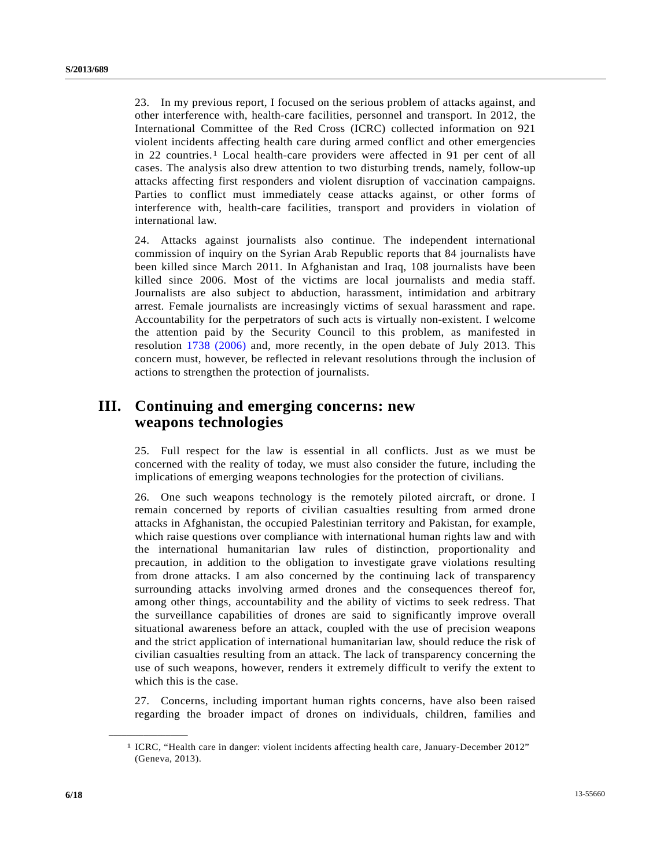23. In my previous report, I focused on the serious problem of attacks against, and other interference with, health-care facilities, personnel and transport. In 2012, the International Committee of the Red Cross (ICRC) collected information on 921 violent incidents affecting health care during armed conflict and other emergencies in 22 countries.<sup>1</sup> Local health-care providers were affected in 9[1](#page-5-0) per cent of all cases. The analysis also drew attention to two disturbing trends, namely, follow-up attacks affecting first responders and violent disruption of vaccination campaigns. Parties to conflict must immediately cease attacks against, or other forms of interference with, health-care facilities, transport and providers in violation of international law.

24. Attacks against journalists also continue. The independent international commission of inquiry on the Syrian Arab Republic reports that 84 journalists have been killed since March 2011. In Afghanistan and Iraq, 108 journalists have been killed since 2006. Most of the victims are local journalists and media staff. Journalists are also subject to abduction, harassment, intimidation and arbitrary arrest. Female journalists are increasingly victims of sexual harassment and rape. Accountability for the perpetrators of such acts is virtually non-existent. I welcome the attention paid by the Security Council to this problem, as manifested in resolution [1738 \(2006\)](http://undocs.org/S/RES/1738(2006)) and, more recently, in the open debate of July 2013. This concern must, however, be reflected in relevant resolutions through the inclusion of actions to strengthen the protection of journalists.

# **III. Continuing and emerging concerns: new weapons technologies**

25. Full respect for the law is essential in all conflicts. Just as we must be concerned with the reality of today, we must also consider the future, including the implications of emerging weapons technologies for the protection of civilians.

26. One such weapons technology is the remotely piloted aircraft, or drone. I remain concerned by reports of civilian casualties resulting from armed drone attacks in Afghanistan, the occupied Palestinian territory and Pakistan, for example, which raise questions over compliance with international human rights law and with the international humanitarian law rules of distinction, proportionality and precaution, in addition to the obligation to investigate grave violations resulting from drone attacks. I am also concerned by the continuing lack of transparency surrounding attacks involving armed drones and the consequences thereof for, among other things, accountability and the ability of victims to seek redress. That the surveillance capabilities of drones are said to significantly improve overall situational awareness before an attack, coupled with the use of precision weapons and the strict application of international humanitarian law, should reduce the risk of civilian casualties resulting from an attack. The lack of transparency concerning the use of such weapons, however, renders it extremely difficult to verify the extent to which this is the case.

27. Concerns, including important human rights concerns, have also been raised regarding the broader impact of drones on individuals, children, families and

<span id="page-5-0"></span>**\_\_\_\_\_\_\_\_\_\_\_\_\_\_\_\_\_\_** 

<sup>1</sup> ICRC, "Health care in danger: violent incidents affecting health care, January-December 2012" (Geneva, 2013).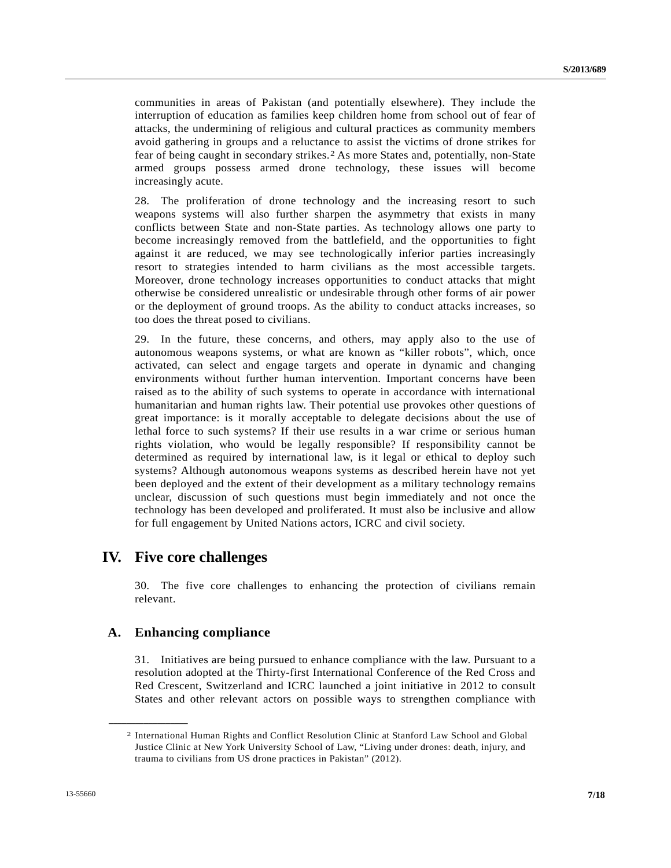communities in areas of Pakistan (and potentially elsewhere). They include the interruption of education as families keep children home from school out of fear of attacks, the undermining of religious and cultural practices as community members avoid gathering in groups and a reluctance to assist the victims of drone strikes for fear of being caught in secondary strikes.[2](#page-6-0) As more States and, potentially, non-State armed groups possess armed drone technology, these issues will become increasingly acute.

28. The proliferation of drone technology and the increasing resort to such weapons systems will also further sharpen the asymmetry that exists in many conflicts between State and non-State parties. As technology allows one party to become increasingly removed from the battlefield, and the opportunities to fight against it are reduced, we may see technologically inferior parties increasingly resort to strategies intended to harm civilians as the most accessible targets. Moreover, drone technology increases opportunities to conduct attacks that might otherwise be considered unrealistic or undesirable through other forms of air power or the deployment of ground troops. As the ability to conduct attacks increases, so too does the threat posed to civilians.

29. In the future, these concerns, and others, may apply also to the use of autonomous weapons systems, or what are known as "killer robots", which, once activated, can select and engage targets and operate in dynamic and changing environments without further human intervention. Important concerns have been raised as to the ability of such systems to operate in accordance with international humanitarian and human rights law. Their potential use provokes other questions of great importance: is it morally acceptable to delegate decisions about the use of lethal force to such systems? If their use results in a war crime or serious human rights violation, who would be legally responsible? If responsibility cannot be determined as required by international law, is it legal or ethical to deploy such systems? Although autonomous weapons systems as described herein have not yet been deployed and the extent of their development as a military technology remains unclear, discussion of such questions must begin immediately and not once the technology has been developed and proliferated. It must also be inclusive and allow for full engagement by United Nations actors, ICRC and civil society.

## **IV. Five core challenges**

30. The five core challenges to enhancing the protection of civilians remain relevant.

### **A. Enhancing compliance**

<span id="page-6-0"></span>**\_\_\_\_\_\_\_\_\_\_\_\_\_\_\_\_\_\_** 

31. Initiatives are being pursued to enhance compliance with the law. Pursuant to a resolution adopted at the Thirty-first International Conference of the Red Cross and Red Crescent, Switzerland and ICRC launched a joint initiative in 2012 to consult States and other relevant actors on possible ways to strengthen compliance with

<sup>2</sup> International Human Rights and Conflict Resolution Clinic at Stanford Law School and Global Justice Clinic at New York University School of Law, "Living under drones: death, injury, and trauma to civilians from US drone practices in Pakistan" (2012).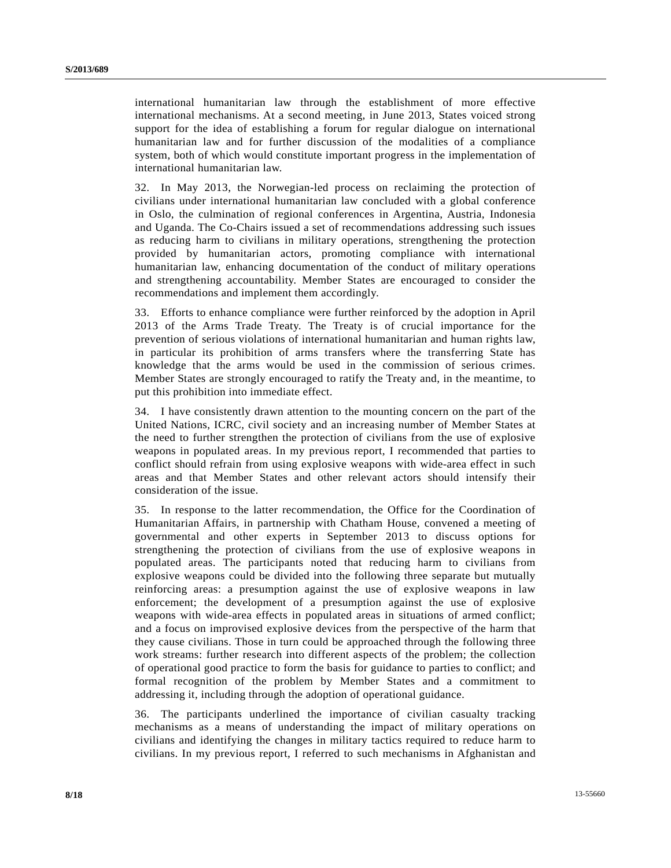international humanitarian law through the establishment of more effective international mechanisms. At a second meeting, in June 2013, States voiced strong support for the idea of establishing a forum for regular dialogue on international humanitarian law and for further discussion of the modalities of a compliance system, both of which would constitute important progress in the implementation of international humanitarian law.

32. In May 2013, the Norwegian-led process on reclaiming the protection of civilians under international humanitarian law concluded with a global conference in Oslo, the culmination of regional conferences in Argentina, Austria, Indonesia and Uganda. The Co-Chairs issued a set of recommendations addressing such issues as reducing harm to civilians in military operations, strengthening the protection provided by humanitarian actors, promoting compliance with international humanitarian law, enhancing documentation of the conduct of military operations and strengthening accountability. Member States are encouraged to consider the recommendations and implement them accordingly.

33. Efforts to enhance compliance were further reinforced by the adoption in April 2013 of the Arms Trade Treaty. The Treaty is of crucial importance for the prevention of serious violations of international humanitarian and human rights law, in particular its prohibition of arms transfers where the transferring State has knowledge that the arms would be used in the commission of serious crimes. Member States are strongly encouraged to ratify the Treaty and, in the meantime, to put this prohibition into immediate effect.

34. I have consistently drawn attention to the mounting concern on the part of the United Nations, ICRC, civil society and an increasing number of Member States at the need to further strengthen the protection of civilians from the use of explosive weapons in populated areas. In my previous report, I recommended that parties to conflict should refrain from using explosive weapons with wide-area effect in such areas and that Member States and other relevant actors should intensify their consideration of the issue.

35. In response to the latter recommendation, the Office for the Coordination of Humanitarian Affairs, in partnership with Chatham House, convened a meeting of governmental and other experts in September 2013 to discuss options for strengthening the protection of civilians from the use of explosive weapons in populated areas. The participants noted that reducing harm to civilians from explosive weapons could be divided into the following three separate but mutually reinforcing areas: a presumption against the use of explosive weapons in law enforcement; the development of a presumption against the use of explosive weapons with wide-area effects in populated areas in situations of armed conflict; and a focus on improvised explosive devices from the perspective of the harm that they cause civilians. Those in turn could be approached through the following three work streams: further research into different aspects of the problem; the collection of operational good practice to form the basis for guidance to parties to conflict; and formal recognition of the problem by Member States and a commitment to addressing it, including through the adoption of operational guidance.

36. The participants underlined the importance of civilian casualty tracking mechanisms as a means of understanding the impact of military operations on civilians and identifying the changes in military tactics required to reduce harm to civilians. In my previous report, I referred to such mechanisms in Afghanistan and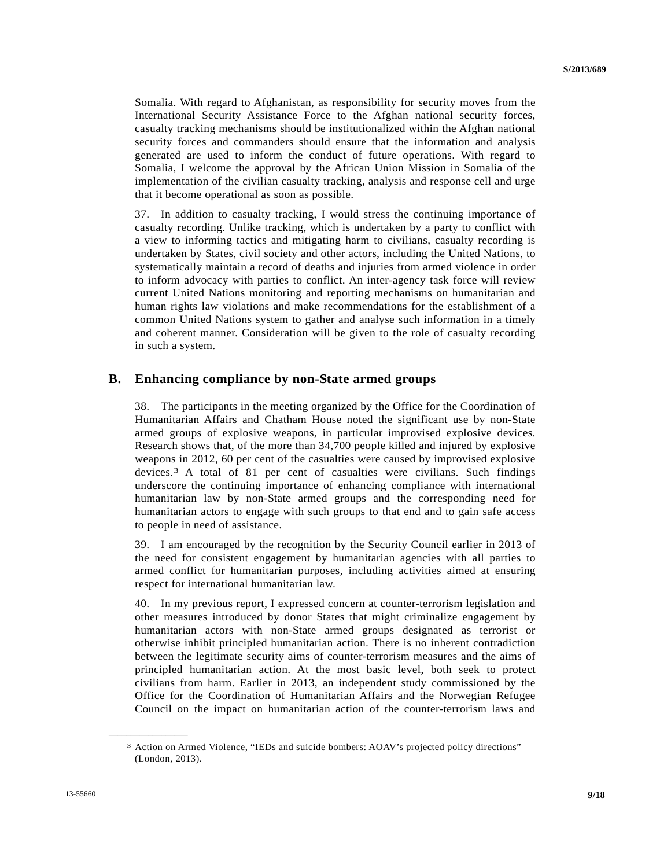Somalia. With regard to Afghanistan, as responsibility for security moves from the International Security Assistance Force to the Afghan national security forces, casualty tracking mechanisms should be institutionalized within the Afghan national security forces and commanders should ensure that the information and analysis generated are used to inform the conduct of future operations. With regard to Somalia, I welcome the approval by the African Union Mission in Somalia of the implementation of the civilian casualty tracking, analysis and response cell and urge that it become operational as soon as possible.

37. In addition to casualty tracking, I would stress the continuing importance of casualty recording. Unlike tracking, which is undertaken by a party to conflict with a view to informing tactics and mitigating harm to civilians, casualty recording is undertaken by States, civil society and other actors, including the United Nations, to systematically maintain a record of deaths and injuries from armed violence in order to inform advocacy with parties to conflict. An inter-agency task force will review current United Nations monitoring and reporting mechanisms on humanitarian and human rights law violations and make recommendations for the establishment of a common United Nations system to gather and analyse such information in a timely and coherent manner. Consideration will be given to the role of casualty recording in such a system.

### **B. Enhancing compliance by non-State armed groups**

38. The participants in the meeting organized by the Office for the Coordination of Humanitarian Affairs and Chatham House noted the significant use by non-State armed groups of explosive weapons, in particular improvised explosive devices. Research shows that, of the more than 34,700 people killed and injured by explosive weapons in 2012, 60 per cent of the casualties were caused by improvised explosive devices.[3](#page-8-0) A total of 81 per cent of casualties were civilians. Such findings underscore the continuing importance of enhancing compliance with international humanitarian law by non-State armed groups and the corresponding need for humanitarian actors to engage with such groups to that end and to gain safe access to people in need of assistance.

39. I am encouraged by the recognition by the Security Council earlier in 2013 of the need for consistent engagement by humanitarian agencies with all parties to armed conflict for humanitarian purposes, including activities aimed at ensuring respect for international humanitarian law.

40. In my previous report, I expressed concern at counter-terrorism legislation and other measures introduced by donor States that might criminalize engagement by humanitarian actors with non-State armed groups designated as terrorist or otherwise inhibit principled humanitarian action. There is no inherent contradiction between the legitimate security aims of counter-terrorism measures and the aims of principled humanitarian action. At the most basic level, both seek to protect civilians from harm. Earlier in 2013, an independent study commissioned by the Office for the Coordination of Humanitarian Affairs and the Norwegian Refugee Council on the impact on humanitarian action of the counter-terrorism laws and

<span id="page-8-0"></span>**\_\_\_\_\_\_\_\_\_\_\_\_\_\_\_\_\_\_** 

<sup>3</sup> Action on Armed Violence, "IEDs and suicide bombers: AOAV's projected policy directions" (London, 2013).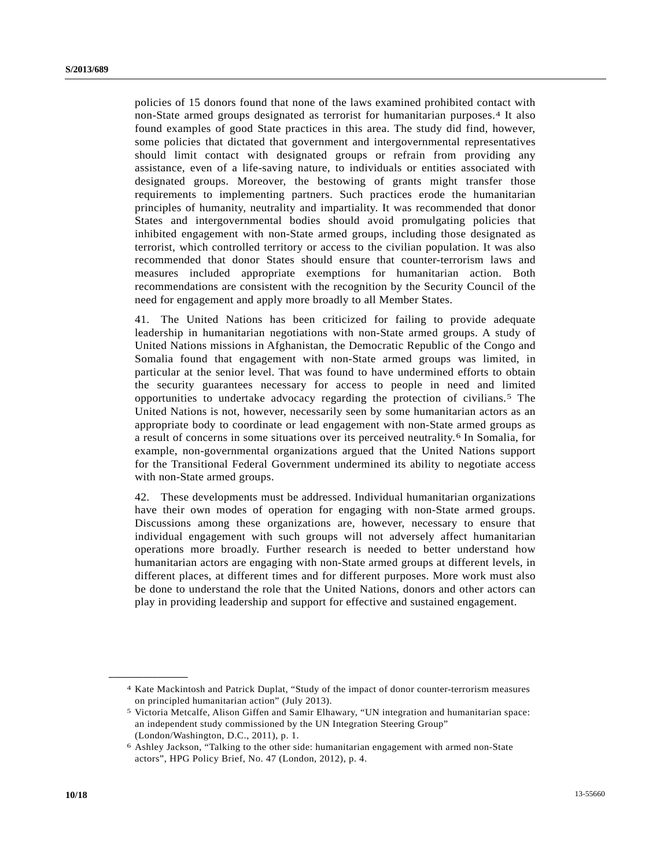policies of 15 donors found that none of the laws examined prohibited contact with non-State armed groups designated as terrorist for humanitarian purposes.[4](#page-9-0) It also found examples of good State practices in this area. The study did find, however, some policies that dictated that government and intergovernmental representatives should limit contact with designated groups or refrain from providing any assistance, even of a life-saving nature, to individuals or entities associated with designated groups. Moreover, the bestowing of grants might transfer those requirements to implementing partners. Such practices erode the humanitarian principles of humanity, neutrality and impartiality. It was recommended that donor States and intergovernmental bodies should avoid promulgating policies that inhibited engagement with non-State armed groups, including those designated as terrorist, which controlled territory or access to the civilian population. It was also recommended that donor States should ensure that counter-terrorism laws and measures included appropriate exemptions for humanitarian action. Both recommendations are consistent with the recognition by the Security Council of the need for engagement and apply more broadly to all Member States.

41. The United Nations has been criticized for failing to provide adequate leadership in humanitarian negotiations with non-State armed groups. A study of United Nations missions in Afghanistan, the Democratic Republic of the Congo and Somalia found that engagement with non-State armed groups was limited, in particular at the senior level. That was found to have undermined efforts to obtain the security guarantees necessary for access to people in need and limited opportunities to undertake advocacy regarding the protection of civilians.[5](#page-9-1) The United Nations is not, however, necessarily seen by some humanitarian actors as an appropriate body to coordinate or lead engagement with non-State armed groups as a result of concerns in some situations over its perceived neutrality.[6](#page-9-2) In Somalia, for example, non-governmental organizations argued that the United Nations support for the Transitional Federal Government undermined its ability to negotiate access with non-State armed groups.

42. These developments must be addressed. Individual humanitarian organizations have their own modes of operation for engaging with non-State armed groups. Discussions among these organizations are, however, necessary to ensure that individual engagement with such groups will not adversely affect humanitarian operations more broadly. Further research is needed to better understand how humanitarian actors are engaging with non-State armed groups at different levels, in different places, at different times and for different purposes. More work must also be done to understand the role that the United Nations, donors and other actors can play in providing leadership and support for effective and sustained engagement.

<span id="page-9-1"></span><span id="page-9-0"></span>**\_\_\_\_\_\_\_\_\_\_\_\_\_\_\_\_\_\_** 

<sup>4</sup> Kate Mackintosh and Patrick Duplat, "Study of the impact of donor counter-terrorism measures on principled humanitarian action" (July 2013).

<sup>5</sup> Victoria Metcalfe, Alison Giffen and Samir Elhawary, "UN integration and humanitarian space: an independent study commissioned by the UN Integration Steering Group" (London/Washington, D.C., 2011), p. 1.

<span id="page-9-2"></span><sup>6</sup> Ashley Jackson, "Talking to the other side: humanitarian engagement with armed non-State actors", HPG Policy Brief, No. 47 (London, 2012), p. 4.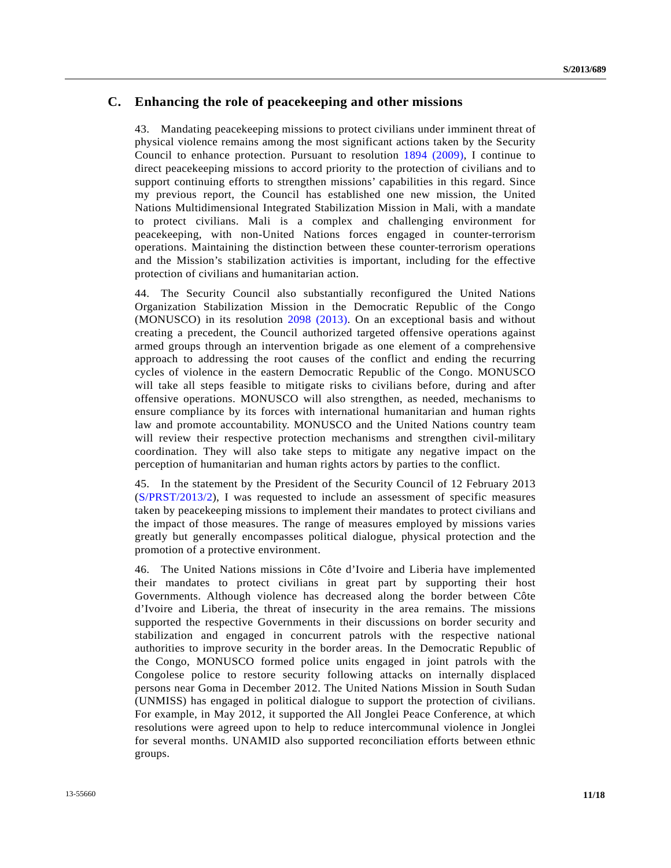### **C. Enhancing the role of peacekeeping and other missions**

43. Mandating peacekeeping missions to protect civilians under imminent threat of physical violence remains among the most significant actions taken by the Security Council to enhance protection. Pursuant to resolution [1894 \(2009\)](http://undocs.org/S/RES/1894(2009)), I continue to direct peacekeeping missions to accord priority to the protection of civilians and to support continuing efforts to strengthen missions' capabilities in this regard. Since my previous report, the Council has established one new mission, the United Nations Multidimensional Integrated Stabilization Mission in Mali, with a mandate to protect civilians. Mali is a complex and challenging environment for peacekeeping, with non-United Nations forces engaged in counter-terrorism operations. Maintaining the distinction between these counter-terrorism operations and the Mission's stabilization activities is important, including for the effective protection of civilians and humanitarian action.

44. The Security Council also substantially reconfigured the United Nations Organization Stabilization Mission in the Democratic Republic of the Congo (MONUSCO) in its resolution [2098 \(2013\)](http://undocs.org/S/RES/2098(2013)). On an exceptional basis and without creating a precedent, the Council authorized targeted offensive operations against armed groups through an intervention brigade as one element of a comprehensive approach to addressing the root causes of the conflict and ending the recurring cycles of violence in the eastern Democratic Republic of the Congo. MONUSCO will take all steps feasible to mitigate risks to civilians before, during and after offensive operations. MONUSCO will also strengthen, as needed, mechanisms to ensure compliance by its forces with international humanitarian and human rights law and promote accountability. MONUSCO and the United Nations country team will review their respective protection mechanisms and strengthen civil-military coordination. They will also take steps to mitigate any negative impact on the perception of humanitarian and human rights actors by parties to the conflict.

45. In the statement by the President of the Security Council of 12 February 2013 ([S/PRST/2013/2\)](http://undocs.org/S/PRST/2013/2), I was requested to include an assessment of specific measures taken by peacekeeping missions to implement their mandates to protect civilians and the impact of those measures. The range of measures employed by missions varies greatly but generally encompasses political dialogue, physical protection and the promotion of a protective environment.

46. The United Nations missions in Côte d'Ivoire and Liberia have implemented their mandates to protect civilians in great part by supporting their host Governments. Although violence has decreased along the border between Côte d'Ivoire and Liberia, the threat of insecurity in the area remains. The missions supported the respective Governments in their discussions on border security and stabilization and engaged in concurrent patrols with the respective national authorities to improve security in the border areas. In the Democratic Republic of the Congo, MONUSCO formed police units engaged in joint patrols with the Congolese police to restore security following attacks on internally displaced persons near Goma in December 2012. The United Nations Mission in South Sudan (UNMISS) has engaged in political dialogue to support the protection of civilians. For example, in May 2012, it supported the All Jonglei Peace Conference, at which resolutions were agreed upon to help to reduce intercommunal violence in Jonglei for several months. UNAMID also supported reconciliation efforts between ethnic groups.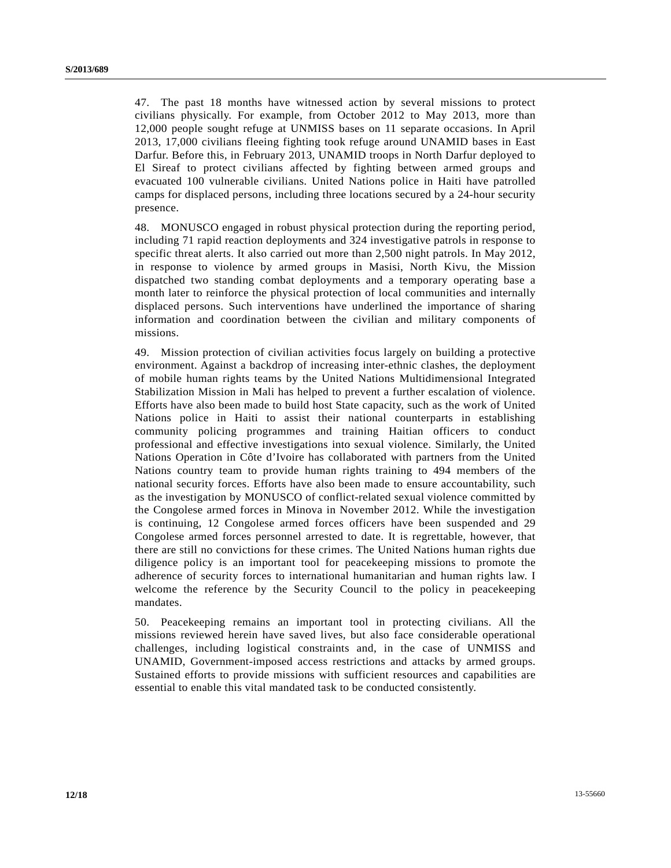47. The past 18 months have witnessed action by several missions to protect civilians physically. For example, from October 2012 to May 2013, more than 12,000 people sought refuge at UNMISS bases on 11 separate occasions. In April 2013, 17,000 civilians fleeing fighting took refuge around UNAMID bases in East Darfur. Before this, in February 2013, UNAMID troops in North Darfur deployed to El Sireaf to protect civilians affected by fighting between armed groups and evacuated 100 vulnerable civilians. United Nations police in Haiti have patrolled camps for displaced persons, including three locations secured by a 24-hour security presence.

48. MONUSCO engaged in robust physical protection during the reporting period, including 71 rapid reaction deployments and 324 investigative patrols in response to specific threat alerts. It also carried out more than 2,500 night patrols. In May 2012, in response to violence by armed groups in Masisi, North Kivu, the Mission dispatched two standing combat deployments and a temporary operating base a month later to reinforce the physical protection of local communities and internally displaced persons. Such interventions have underlined the importance of sharing information and coordination between the civilian and military components of missions.

49. Mission protection of civilian activities focus largely on building a protective environment. Against a backdrop of increasing inter-ethnic clashes, the deployment of mobile human rights teams by the United Nations Multidimensional Integrated Stabilization Mission in Mali has helped to prevent a further escalation of violence. Efforts have also been made to build host State capacity, such as the work of United Nations police in Haiti to assist their national counterparts in establishing community policing programmes and training Haitian officers to conduct professional and effective investigations into sexual violence. Similarly, the United Nations Operation in Côte d'Ivoire has collaborated with partners from the United Nations country team to provide human rights training to 494 members of the national security forces. Efforts have also been made to ensure accountability, such as the investigation by MONUSCO of conflict-related sexual violence committed by the Congolese armed forces in Minova in November 2012. While the investigation is continuing, 12 Congolese armed forces officers have been suspended and 29 Congolese armed forces personnel arrested to date. It is regrettable, however, that there are still no convictions for these crimes. The United Nations human rights due diligence policy is an important tool for peacekeeping missions to promote the adherence of security forces to international humanitarian and human rights law. I welcome the reference by the Security Council to the policy in peacekeeping mandates.

50. Peacekeeping remains an important tool in protecting civilians. All the missions reviewed herein have saved lives, but also face considerable operational challenges, including logistical constraints and, in the case of UNMISS and UNAMID, Government-imposed access restrictions and attacks by armed groups. Sustained efforts to provide missions with sufficient resources and capabilities are essential to enable this vital mandated task to be conducted consistently.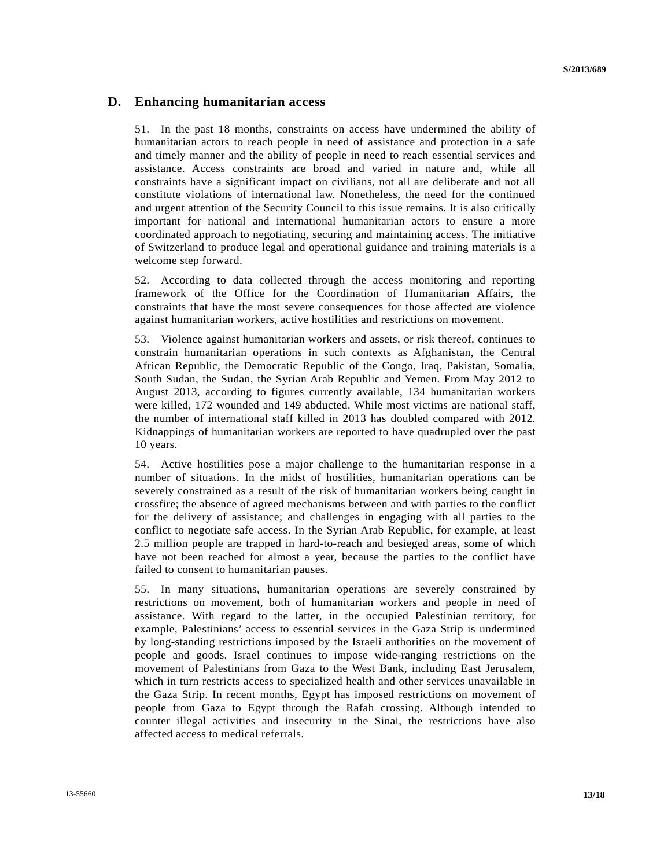### **D. Enhancing humanitarian access**

51. In the past 18 months, constraints on access have undermined the ability of humanitarian actors to reach people in need of assistance and protection in a safe and timely manner and the ability of people in need to reach essential services and assistance. Access constraints are broad and varied in nature and, while all constraints have a significant impact on civilians, not all are deliberate and not all constitute violations of international law. Nonetheless, the need for the continued and urgent attention of the Security Council to this issue remains. It is also critically important for national and international humanitarian actors to ensure a more coordinated approach to negotiating, securing and maintaining access. The initiative of Switzerland to produce legal and operational guidance and training materials is a welcome step forward.

52. According to data collected through the access monitoring and reporting framework of the Office for the Coordination of Humanitarian Affairs, the constraints that have the most severe consequences for those affected are violence against humanitarian workers, active hostilities and restrictions on movement.

53. Violence against humanitarian workers and assets, or risk thereof, continues to constrain humanitarian operations in such contexts as Afghanistan, the Central African Republic, the Democratic Republic of the Congo, Iraq, Pakistan, Somalia, South Sudan, the Sudan, the Syrian Arab Republic and Yemen. From May 2012 to August 2013, according to figures currently available, 134 humanitarian workers were killed, 172 wounded and 149 abducted. While most victims are national staff, the number of international staff killed in 2013 has doubled compared with 2012. Kidnappings of humanitarian workers are reported to have quadrupled over the past 10 years.

54. Active hostilities pose a major challenge to the humanitarian response in a number of situations. In the midst of hostilities, humanitarian operations can be severely constrained as a result of the risk of humanitarian workers being caught in crossfire; the absence of agreed mechanisms between and with parties to the conflict for the delivery of assistance; and challenges in engaging with all parties to the conflict to negotiate safe access. In the Syrian Arab Republic, for example, at least 2.5 million people are trapped in hard-to-reach and besieged areas, some of which have not been reached for almost a year, because the parties to the conflict have failed to consent to humanitarian pauses.

55. In many situations, humanitarian operations are severely constrained by restrictions on movement, both of humanitarian workers and people in need of assistance. With regard to the latter, in the occupied Palestinian territory, for example, Palestinians' access to essential services in the Gaza Strip is undermined by long-standing restrictions imposed by the Israeli authorities on the movement of people and goods. Israel continues to impose wide-ranging restrictions on the movement of Palestinians from Gaza to the West Bank, including East Jerusalem, which in turn restricts access to specialized health and other services unavailable in the Gaza Strip. In recent months, Egypt has imposed restrictions on movement of people from Gaza to Egypt through the Rafah crossing. Although intended to counter illegal activities and insecurity in the Sinai, the restrictions have also affected access to medical referrals.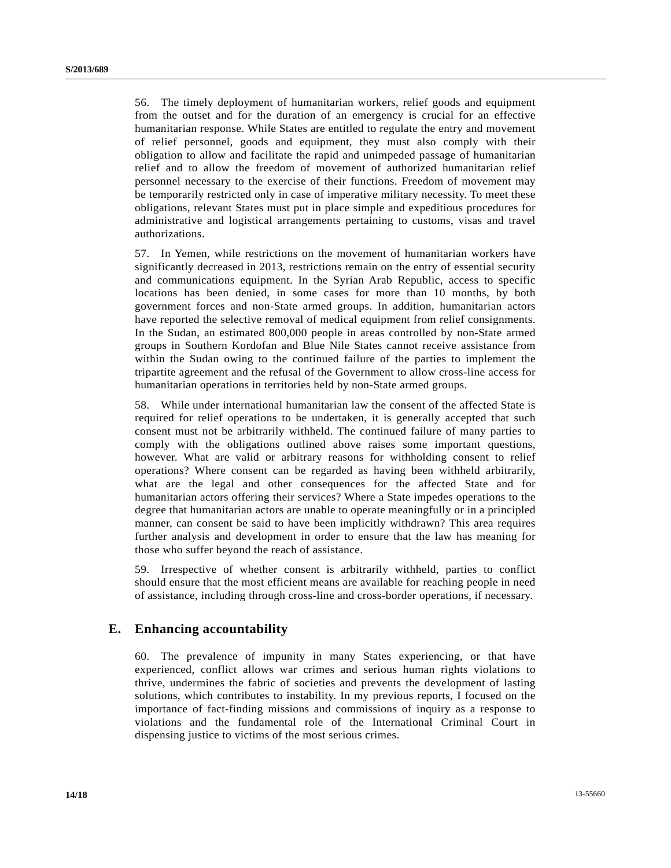56. The timely deployment of humanitarian workers, relief goods and equipment from the outset and for the duration of an emergency is crucial for an effective humanitarian response. While States are entitled to regulate the entry and movement of relief personnel, goods and equipment, they must also comply with their obligation to allow and facilitate the rapid and unimpeded passage of humanitarian relief and to allow the freedom of movement of authorized humanitarian relief personnel necessary to the exercise of their functions. Freedom of movement may be temporarily restricted only in case of imperative military necessity. To meet these obligations, relevant States must put in place simple and expeditious procedures for administrative and logistical arrangements pertaining to customs, visas and travel authorizations.

57. In Yemen, while restrictions on the movement of humanitarian workers have significantly decreased in 2013, restrictions remain on the entry of essential security and communications equipment. In the Syrian Arab Republic, access to specific locations has been denied, in some cases for more than 10 months, by both government forces and non-State armed groups. In addition, humanitarian actors have reported the selective removal of medical equipment from relief consignments. In the Sudan, an estimated 800,000 people in areas controlled by non-State armed groups in Southern Kordofan and Blue Nile States cannot receive assistance from within the Sudan owing to the continued failure of the parties to implement the tripartite agreement and the refusal of the Government to allow cross-line access for humanitarian operations in territories held by non-State armed groups.

58. While under international humanitarian law the consent of the affected State is required for relief operations to be undertaken, it is generally accepted that such consent must not be arbitrarily withheld. The continued failure of many parties to comply with the obligations outlined above raises some important questions, however. What are valid or arbitrary reasons for withholding consent to relief operations? Where consent can be regarded as having been withheld arbitrarily, what are the legal and other consequences for the affected State and for humanitarian actors offering their services? Where a State impedes operations to the degree that humanitarian actors are unable to operate meaningfully or in a principled manner, can consent be said to have been implicitly withdrawn? This area requires further analysis and development in order to ensure that the law has meaning for those who suffer beyond the reach of assistance.

59. Irrespective of whether consent is arbitrarily withheld, parties to conflict should ensure that the most efficient means are available for reaching people in need of assistance, including through cross-line and cross-border operations, if necessary.

### **E. Enhancing accountability**

60. The prevalence of impunity in many States experiencing, or that have experienced, conflict allows war crimes and serious human rights violations to thrive, undermines the fabric of societies and prevents the development of lasting solutions, which contributes to instability. In my previous reports, I focused on the importance of fact-finding missions and commissions of inquiry as a response to violations and the fundamental role of the International Criminal Court in dispensing justice to victims of the most serious crimes.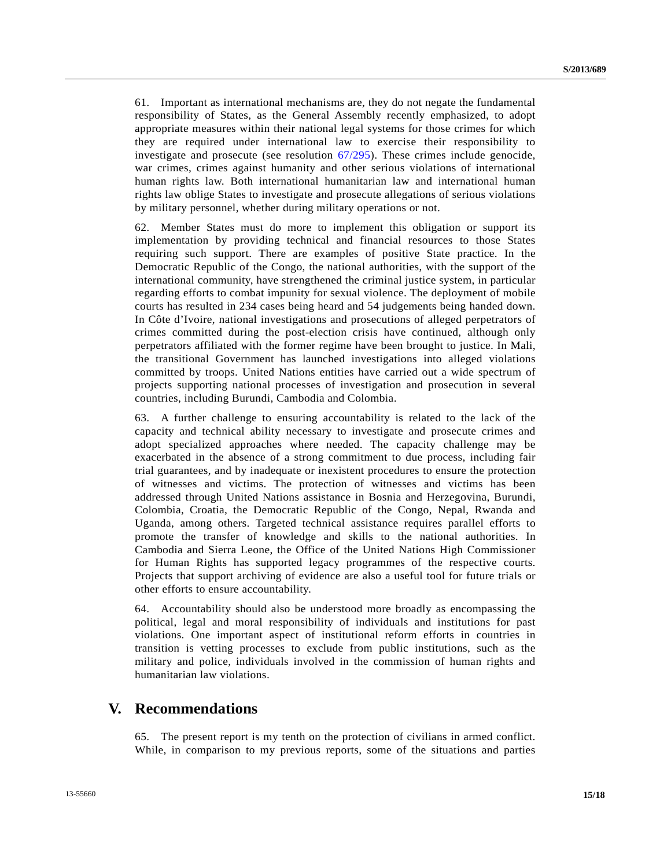61. Important as international mechanisms are, they do not negate the fundamental responsibility of States, as the General Assembly recently emphasized, to adopt appropriate measures within their national legal systems for those crimes for which they are required under international law to exercise their responsibility to investigate and prosecute (see resolution [67/295](http://undocs.org/A/RES/67/295)). These crimes include genocide, war crimes, crimes against humanity and other serious violations of international human rights law. Both international humanitarian law and international human rights law oblige States to investigate and prosecute allegations of serious violations by military personnel, whether during military operations or not.

62. Member States must do more to implement this obligation or support its implementation by providing technical and financial resources to those States requiring such support. There are examples of positive State practice. In the Democratic Republic of the Congo, the national authorities, with the support of the international community, have strengthened the criminal justice system, in particular regarding efforts to combat impunity for sexual violence. The deployment of mobile courts has resulted in 234 cases being heard and 54 judgements being handed down. In Côte d'Ivoire, national investigations and prosecutions of alleged perpetrators of crimes committed during the post-election crisis have continued, although only perpetrators affiliated with the former regime have been brought to justice. In Mali, the transitional Government has launched investigations into alleged violations committed by troops. United Nations entities have carried out a wide spectrum of projects supporting national processes of investigation and prosecution in several countries, including Burundi, Cambodia and Colombia.

63. A further challenge to ensuring accountability is related to the lack of the capacity and technical ability necessary to investigate and prosecute crimes and adopt specialized approaches where needed. The capacity challenge may be exacerbated in the absence of a strong commitment to due process, including fair trial guarantees, and by inadequate or inexistent procedures to ensure the protection of witnesses and victims. The protection of witnesses and victims has been addressed through United Nations assistance in Bosnia and Herzegovina, Burundi, Colombia, Croatia, the Democratic Republic of the Congo, Nepal, Rwanda and Uganda, among others. Targeted technical assistance requires parallel efforts to promote the transfer of knowledge and skills to the national authorities. In Cambodia and Sierra Leone, the Office of the United Nations High Commissioner for Human Rights has supported legacy programmes of the respective courts. Projects that support archiving of evidence are also a useful tool for future trials or other efforts to ensure accountability.

64. Accountability should also be understood more broadly as encompassing the political, legal and moral responsibility of individuals and institutions for past violations. One important aspect of institutional reform efforts in countries in transition is vetting processes to exclude from public institutions, such as the military and police, individuals involved in the commission of human rights and humanitarian law violations.

## **V. Recommendations**

65. The present report is my tenth on the protection of civilians in armed conflict. While, in comparison to my previous reports, some of the situations and parties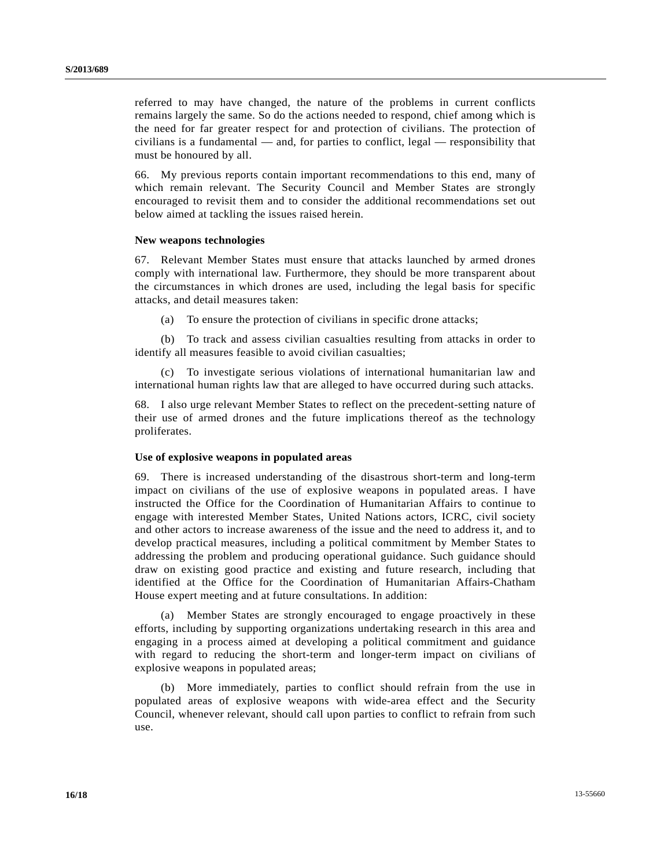referred to may have changed, the nature of the problems in current conflicts remains largely the same. So do the actions needed to respond, chief among which is the need for far greater respect for and protection of civilians. The protection of civilians is a fundamental — and, for parties to conflict, legal — responsibility that must be honoured by all.

66. My previous reports contain important recommendations to this end, many of which remain relevant. The Security Council and Member States are strongly encouraged to revisit them and to consider the additional recommendations set out below aimed at tackling the issues raised herein.

#### **New weapons technologies**

67. Relevant Member States must ensure that attacks launched by armed drones comply with international law. Furthermore, they should be more transparent about the circumstances in which drones are used, including the legal basis for specific attacks, and detail measures taken:

(a) To ensure the protection of civilians in specific drone attacks;

 (b) To track and assess civilian casualties resulting from attacks in order to identify all measures feasible to avoid civilian casualties;

To investigate serious violations of international humanitarian law and international human rights law that are alleged to have occurred during such attacks.

68. I also urge relevant Member States to reflect on the precedent-setting nature of their use of armed drones and the future implications thereof as the technology proliferates.

#### **Use of explosive weapons in populated areas**

69. There is increased understanding of the disastrous short-term and long-term impact on civilians of the use of explosive weapons in populated areas. I have instructed the Office for the Coordination of Humanitarian Affairs to continue to engage with interested Member States, United Nations actors, ICRC, civil society and other actors to increase awareness of the issue and the need to address it, and to develop practical measures, including a political commitment by Member States to addressing the problem and producing operational guidance. Such guidance should draw on existing good practice and existing and future research, including that identified at the Office for the Coordination of Humanitarian Affairs-Chatham House expert meeting and at future consultations. In addition:

 (a) Member States are strongly encouraged to engage proactively in these efforts, including by supporting organizations undertaking research in this area and engaging in a process aimed at developing a political commitment and guidance with regard to reducing the short-term and longer-term impact on civilians of explosive weapons in populated areas;

 (b) More immediately, parties to conflict should refrain from the use in populated areas of explosive weapons with wide-area effect and the Security Council, whenever relevant, should call upon parties to conflict to refrain from such use.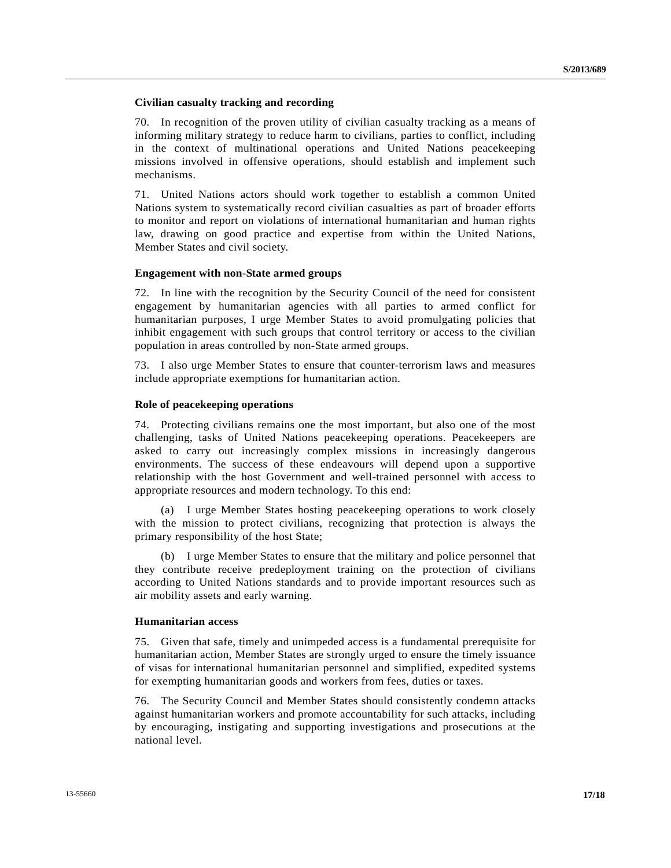### **Civilian casualty tracking and recording**

70. In recognition of the proven utility of civilian casualty tracking as a means of informing military strategy to reduce harm to civilians, parties to conflict, including in the context of multinational operations and United Nations peacekeeping missions involved in offensive operations, should establish and implement such mechanisms.

71. United Nations actors should work together to establish a common United Nations system to systematically record civilian casualties as part of broader efforts to monitor and report on violations of international humanitarian and human rights law, drawing on good practice and expertise from within the United Nations, Member States and civil society.

### **Engagement with non-State armed groups**

72. In line with the recognition by the Security Council of the need for consistent engagement by humanitarian agencies with all parties to armed conflict for humanitarian purposes, I urge Member States to avoid promulgating policies that inhibit engagement with such groups that control territory or access to the civilian population in areas controlled by non-State armed groups.

73. I also urge Member States to ensure that counter-terrorism laws and measures include appropriate exemptions for humanitarian action.

#### **Role of peacekeeping operations**

74. Protecting civilians remains one the most important, but also one of the most challenging, tasks of United Nations peacekeeping operations. Peacekeepers are asked to carry out increasingly complex missions in increasingly dangerous environments. The success of these endeavours will depend upon a supportive relationship with the host Government and well-trained personnel with access to appropriate resources and modern technology. To this end:

 (a) I urge Member States hosting peacekeeping operations to work closely with the mission to protect civilians, recognizing that protection is always the primary responsibility of the host State;

 (b) I urge Member States to ensure that the military and police personnel that they contribute receive predeployment training on the protection of civilians according to United Nations standards and to provide important resources such as air mobility assets and early warning.

#### **Humanitarian access**

75. Given that safe, timely and unimpeded access is a fundamental prerequisite for humanitarian action, Member States are strongly urged to ensure the timely issuance of visas for international humanitarian personnel and simplified, expedited systems for exempting humanitarian goods and workers from fees, duties or taxes.

76. The Security Council and Member States should consistently condemn attacks against humanitarian workers and promote accountability for such attacks, including by encouraging, instigating and supporting investigations and prosecutions at the national level.